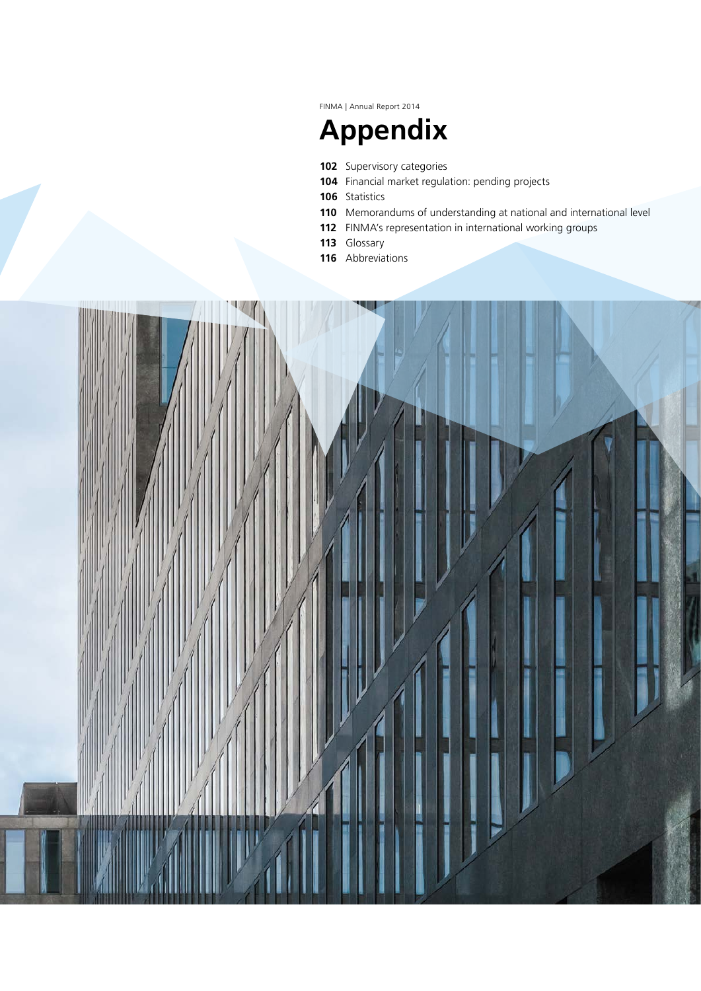FINMA | Annual Report 2014

# **Appendix**

- Supervisory categories
- Financial market regulation: pending projects
- Statistics
- Memorandums of understanding at national and international level
- FINMA's representation in international working groups
- Glossary
- Abbreviations

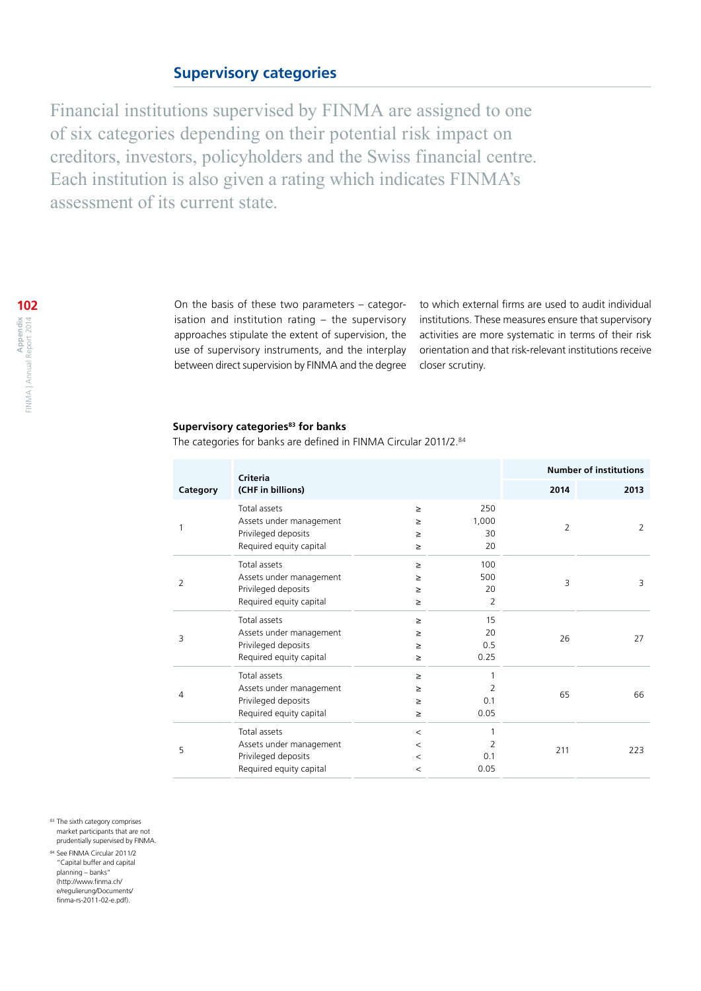## **Supervisory categories**

Financial institutions supervised by FINMA are assigned to one of six categories depending on their potential risk impact on creditors, investors, policyholders and the Swiss financial centre. Each institution is also given a rating which indicates FINMA's assessment of its current state.

> On the basis of these two parameters – categorisation and institution rating – the supervisory approaches stipulate the extent of supervision, the use of supervisory instruments, and the interplay between direct supervision by FINMA and the degree

to which external firms are used to audit individual institutions. These measures ensure that supervisory activities are more systematic in terms of their risk orientation and that risk-relevant institutions receive closer scrutiny.

## **Supervisory categories<sup>83</sup> for banks**

The categories for banks are defined in FINMA Circular 2011/2.84

|          | <b>Criteria</b>                                                                           |                                        |                          |                | <b>Number of institutions</b> |
|----------|-------------------------------------------------------------------------------------------|----------------------------------------|--------------------------|----------------|-------------------------------|
| Category | (CHF in billions)                                                                         |                                        |                          | 2014           | 2013                          |
| 1        | Total assets<br>Assets under management<br>Privileged deposits<br>Required equity capital | $\geq$<br>≥<br>≥<br>$\geq$             | 250<br>1,000<br>30<br>20 | $\overline{2}$ | 2                             |
| 2        | Total assets<br>Assets under management<br>Privileged deposits<br>Required equity capital | $\geq$<br>$\geq$<br>$\geq$<br>$\geq$   | 100<br>500<br>20<br>2    | 3              | 3                             |
| 3        | Total assets<br>Assets under management<br>Privileged deposits<br>Required equity capital | $\geq$<br>≥<br>$\geq$<br>$\geq$        | 15<br>20<br>0.5<br>0.25  | 26             | 27                            |
| 4        | Total assets<br>Assets under management<br>Privileged deposits<br>Required equity capital | $\geq$<br>≥<br>≥<br>$\geq$             | 1<br>2<br>0.1<br>0.05    | 65             | 66                            |
| 5        | Total assets<br>Assets under management<br>Privileged deposits<br>Required equity capital | $\,<\,$<br>$\,<\,$<br>$\,<\,$<br>$\,<$ | 1<br>2<br>0.1<br>0.05    | 211            | 223                           |

83 The sixth category comprises market participants that are not prudentially supervised by FINMA.

<sup>84</sup> See FINMA Circular 2011/2 "Capital buffer and capital planning – banks" ([http://www.finma.ch/](http://www.finma.ch/e/regulierung/Documents/finma-rs-2011-02-e.pdf) [e/regulierung/Documents/](http://www.finma.ch/e/regulierung/Documents/finma-rs-2011-02-e.pdf)  $f_{\text{inma-rs-2011-02-e.}}$ ndf).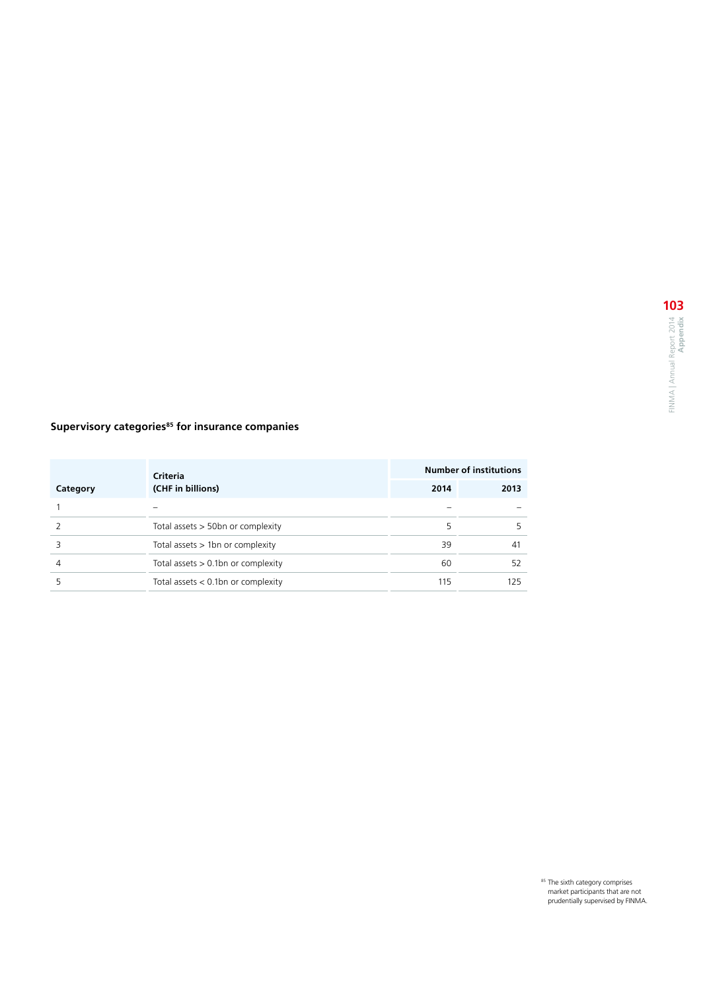## **Supervisory categories<sup>85</sup> for insurance companies**

|          | <b>Criteria</b>                       |      | <b>Number of institutions</b> |
|----------|---------------------------------------|------|-------------------------------|
| Category | (CHF in billions)                     | 2014 | 2013                          |
|          |                                       |      |                               |
|          | Total assets $>$ 50 bn or complexity  | 5    |                               |
|          | Total assets $> 1$ bn or complexity   | 39   | 41                            |
| 4        | Total assets $> 0.1$ bn or complexity | 60   | 52                            |
|          | Total assets $< 0.1$ bn or complexity | 115  | 125                           |

<sup>85</sup> The sixth category comprises<br>market participants that are not<br>prudentially supervised by FINMA.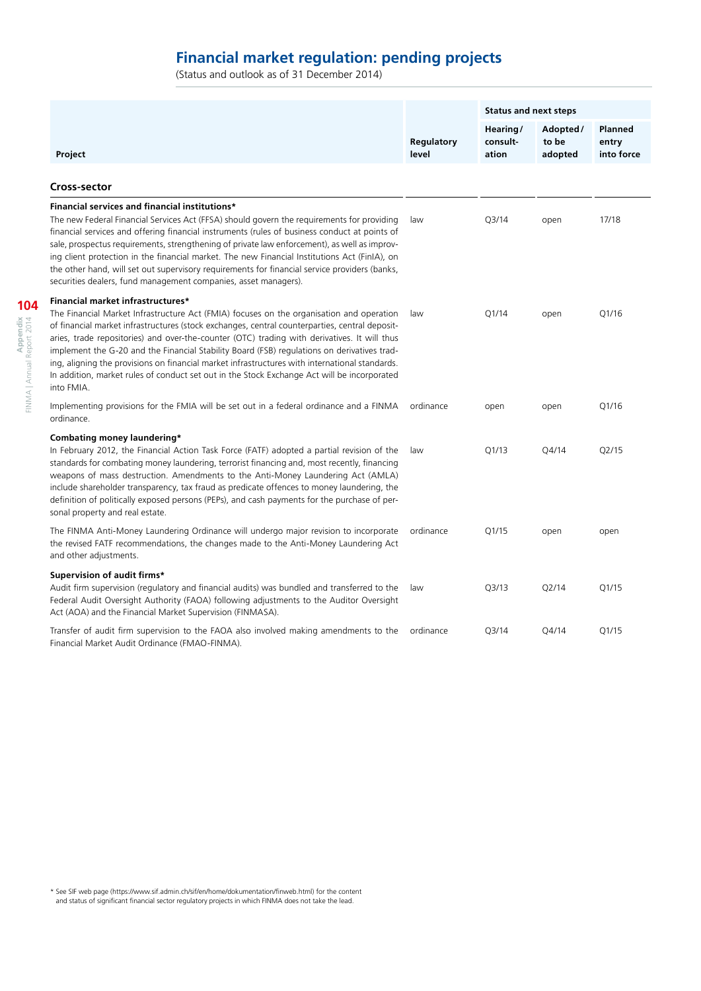## **Financial market regulation: pending projects**

(Status and outlook as of 31 December 2014)

|                                                                                                                                                                                                                                                                                                                                                                                                                                                                                                                                                                                                                                               |                     | <b>Status and next steps</b>  |                              |                                |
|-----------------------------------------------------------------------------------------------------------------------------------------------------------------------------------------------------------------------------------------------------------------------------------------------------------------------------------------------------------------------------------------------------------------------------------------------------------------------------------------------------------------------------------------------------------------------------------------------------------------------------------------------|---------------------|-------------------------------|------------------------------|--------------------------------|
| Project                                                                                                                                                                                                                                                                                                                                                                                                                                                                                                                                                                                                                                       | Regulatory<br>level | Hearing/<br>consult-<br>ation | Adopted/<br>to be<br>adopted | Planned<br>entry<br>into force |
| <b>Cross-sector</b>                                                                                                                                                                                                                                                                                                                                                                                                                                                                                                                                                                                                                           |                     |                               |                              |                                |
| Financial services and financial institutions*<br>The new Federal Financial Services Act (FFSA) should govern the requirements for providing<br>financial services and offering financial instruments (rules of business conduct at points of<br>sale, prospectus requirements, strengthening of private law enforcement), as well as improv-<br>ing client protection in the financial market. The new Financial Institutions Act (FinIA), on<br>the other hand, will set out supervisory requirements for financial service providers (banks,<br>securities dealers, fund management companies, asset managers).                            | law                 | Q3/14                         | open                         | 17/18                          |
| Financial market infrastructures*<br>The Financial Market Infrastructure Act (FMIA) focuses on the organisation and operation<br>of financial market infrastructures (stock exchanges, central counterparties, central deposit-<br>aries, trade repositories) and over-the-counter (OTC) trading with derivatives. It will thus<br>implement the G-20 and the Financial Stability Board (FSB) regulations on derivatives trad-<br>ing, aligning the provisions on financial market infrastructures with international standards.<br>In addition, market rules of conduct set out in the Stock Exchange Act will be incorporated<br>into FMIA. | law                 | Q1/14                         | open                         | Q1/16                          |
| Implementing provisions for the FMIA will be set out in a federal ordinance and a FINMA<br>ordinance.                                                                                                                                                                                                                                                                                                                                                                                                                                                                                                                                         | ordinance           | open                          | open                         | Q1/16                          |
| Combating money laundering*<br>In February 2012, the Financial Action Task Force (FATF) adopted a partial revision of the<br>standards for combating money laundering, terrorist financing and, most recently, financing<br>weapons of mass destruction. Amendments to the Anti-Money Laundering Act (AMLA)<br>include shareholder transparency, tax fraud as predicate offences to money laundering, the<br>definition of politically exposed persons (PEPs), and cash payments for the purchase of per-<br>sonal property and real estate.                                                                                                  | law                 | Q1/13                         | Q4/14                        | Q2/15                          |
| The FINMA Anti-Money Laundering Ordinance will undergo major revision to incorporate<br>the revised FATF recommendations, the changes made to the Anti-Money Laundering Act<br>and other adjustments.                                                                                                                                                                                                                                                                                                                                                                                                                                         | ordinance           | Q1/15                         | open                         | open                           |
| Supervision of audit firms*<br>Audit firm supervision (regulatory and financial audits) was bundled and transferred to the<br>Federal Audit Oversight Authority (FAOA) following adjustments to the Auditor Oversight<br>Act (AOA) and the Financial Market Supervision (FINMASA).                                                                                                                                                                                                                                                                                                                                                            | law                 | Q <sub>3/13</sub>             | Q2/14                        | Q1/15                          |
| Transfer of audit firm supervision to the FAOA also involved making amendments to the<br>Financial Market Audit Ordinance (FMAO-FINMA).                                                                                                                                                                                                                                                                                                                                                                                                                                                                                                       | ordinance           | Q3/14                         | Q4/14                        | Q1/15                          |

\* See SIF web page (<https://www.sif.admin.ch/sif/en/home/dokumentation/finweb.html>) for the content and status of significant financial sector regulatory projects in which FINMA does not take the lead.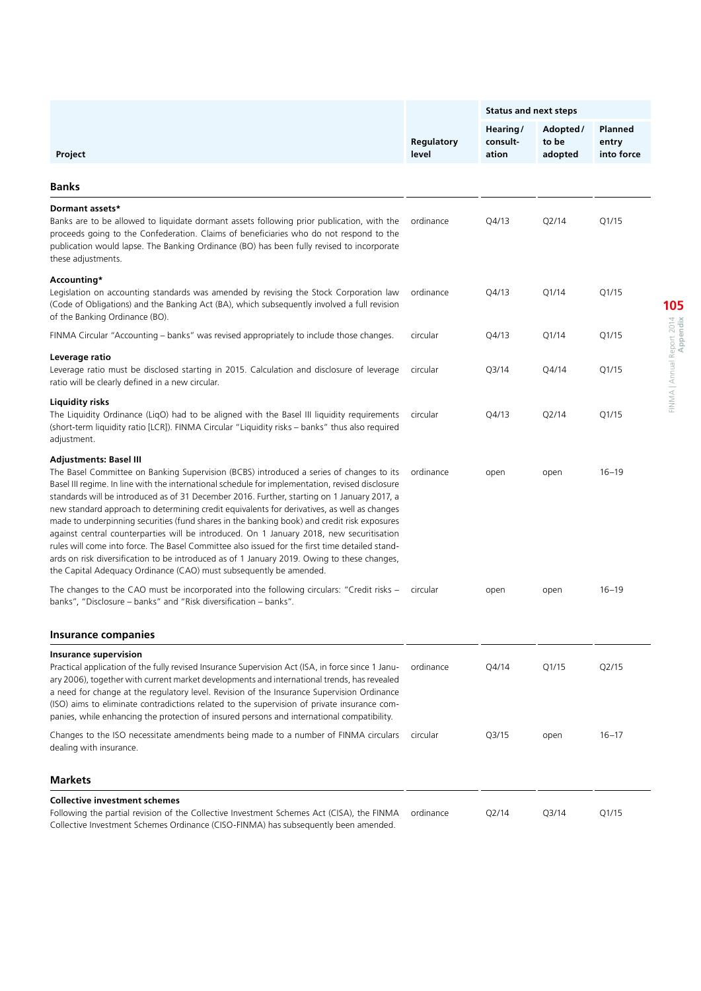|                                                                                                                                                                                                                                                                                                                                                                                                                                                                                                                                                                                                                                                                                                                                                                                                                                                                                       | <b>Status and next steps</b> |                               |                              |                                       |  |
|---------------------------------------------------------------------------------------------------------------------------------------------------------------------------------------------------------------------------------------------------------------------------------------------------------------------------------------------------------------------------------------------------------------------------------------------------------------------------------------------------------------------------------------------------------------------------------------------------------------------------------------------------------------------------------------------------------------------------------------------------------------------------------------------------------------------------------------------------------------------------------------|------------------------------|-------------------------------|------------------------------|---------------------------------------|--|
| Project                                                                                                                                                                                                                                                                                                                                                                                                                                                                                                                                                                                                                                                                                                                                                                                                                                                                               | Regulatory<br>level          | Hearing/<br>consult-<br>ation | Adopted/<br>to be<br>adopted | <b>Planned</b><br>entry<br>into force |  |
| Banks                                                                                                                                                                                                                                                                                                                                                                                                                                                                                                                                                                                                                                                                                                                                                                                                                                                                                 |                              |                               |                              |                                       |  |
|                                                                                                                                                                                                                                                                                                                                                                                                                                                                                                                                                                                                                                                                                                                                                                                                                                                                                       |                              |                               |                              |                                       |  |
| Dormant assets*<br>Banks are to be allowed to liquidate dormant assets following prior publication, with the<br>proceeds going to the Confederation. Claims of beneficiaries who do not respond to the<br>publication would lapse. The Banking Ordinance (BO) has been fully revised to incorporate<br>these adjustments.                                                                                                                                                                                                                                                                                                                                                                                                                                                                                                                                                             | ordinance                    | Q4/13                         | Q2/14                        | Q1/15                                 |  |
| Accounting*<br>Legislation on accounting standards was amended by revising the Stock Corporation law<br>(Code of Obligations) and the Banking Act (BA), which subsequently involved a full revision<br>of the Banking Ordinance (BO).                                                                                                                                                                                                                                                                                                                                                                                                                                                                                                                                                                                                                                                 | ordinance                    | Q4/13                         | Q1/14                        | Q1/15                                 |  |
| FINMA Circular "Accounting - banks" was revised appropriately to include those changes.                                                                                                                                                                                                                                                                                                                                                                                                                                                                                                                                                                                                                                                                                                                                                                                               | circular                     | Q4/13                         | Q1/14                        | Q1/15                                 |  |
| Leverage ratio<br>Leverage ratio must be disclosed starting in 2015. Calculation and disclosure of leverage<br>ratio will be clearly defined in a new circular.                                                                                                                                                                                                                                                                                                                                                                                                                                                                                                                                                                                                                                                                                                                       | circular                     | Q3/14                         | Q4/14                        | Q1/15                                 |  |
| Liquidity risks<br>The Liquidity Ordinance (LiqO) had to be aligned with the Basel III liquidity requirements<br>(short-term liquidity ratio [LCR]). FINMA Circular "Liquidity risks – banks" thus also required<br>adjustment.                                                                                                                                                                                                                                                                                                                                                                                                                                                                                                                                                                                                                                                       | circular                     | Q4/13                         | Q2/14                        | Q1/15                                 |  |
| Adjustments: Basel III<br>The Basel Committee on Banking Supervision (BCBS) introduced a series of changes to its<br>Basel III regime. In line with the international schedule for implementation, revised disclosure<br>standards will be introduced as of 31 December 2016. Further, starting on 1 January 2017, a<br>new standard approach to determining credit equivalents for derivatives, as well as changes<br>made to underpinning securities (fund shares in the banking book) and credit risk exposures<br>against central counterparties will be introduced. On 1 January 2018, new securitisation<br>rules will come into force. The Basel Committee also issued for the first time detailed stand-<br>ards on risk diversification to be introduced as of 1 January 2019. Owing to these changes,<br>the Capital Adequacy Ordinance (CAO) must subsequently be amended. | ordinance                    | open                          | open                         | $16 - 19$                             |  |
| The changes to the CAO must be incorporated into the following circulars: "Credit risks –<br>banks", "Disclosure – banks" and "Risk diversification – banks".                                                                                                                                                                                                                                                                                                                                                                                                                                                                                                                                                                                                                                                                                                                         | circular                     | open                          | open                         | $16 - 19$                             |  |
| <b>Insurance companies</b>                                                                                                                                                                                                                                                                                                                                                                                                                                                                                                                                                                                                                                                                                                                                                                                                                                                            |                              |                               |                              |                                       |  |
| <b>Insurance supervision</b><br>Practical application of the fully revised Insurance Supervision Act (ISA, in force since 1 Janu-<br>ary 2006), together with current market developments and international trends, has revealed<br>a need for change at the regulatory level. Revision of the Insurance Supervision Ordinance<br>(ISO) aims to eliminate contradictions related to the supervision of private insurance com-<br>panies, while enhancing the protection of insured persons and international compatibility.                                                                                                                                                                                                                                                                                                                                                           | ordinance                    | Q4/14                         | Q1/15                        | Q2/15                                 |  |
| Changes to the ISO necessitate amendments being made to a number of FINMA circulars<br>dealing with insurance.                                                                                                                                                                                                                                                                                                                                                                                                                                                                                                                                                                                                                                                                                                                                                                        | circular                     | Q3/15                         | open                         | $16 - 17$                             |  |
| <b>Markets</b>                                                                                                                                                                                                                                                                                                                                                                                                                                                                                                                                                                                                                                                                                                                                                                                                                                                                        |                              |                               |                              |                                       |  |
| <b>Collective investment schemes</b>                                                                                                                                                                                                                                                                                                                                                                                                                                                                                                                                                                                                                                                                                                                                                                                                                                                  |                              |                               |                              |                                       |  |
| Following the partial revision of the Collective Investment Schemes Act (CISA), the FINMA                                                                                                                                                                                                                                                                                                                                                                                                                                                                                                                                                                                                                                                                                                                                                                                             | ordinance                    | Q2/14                         | Q3/14                        | Q1/15                                 |  |

Collective Investment Schemes Ordinance (CISO-FINMA) has subsequently been amended.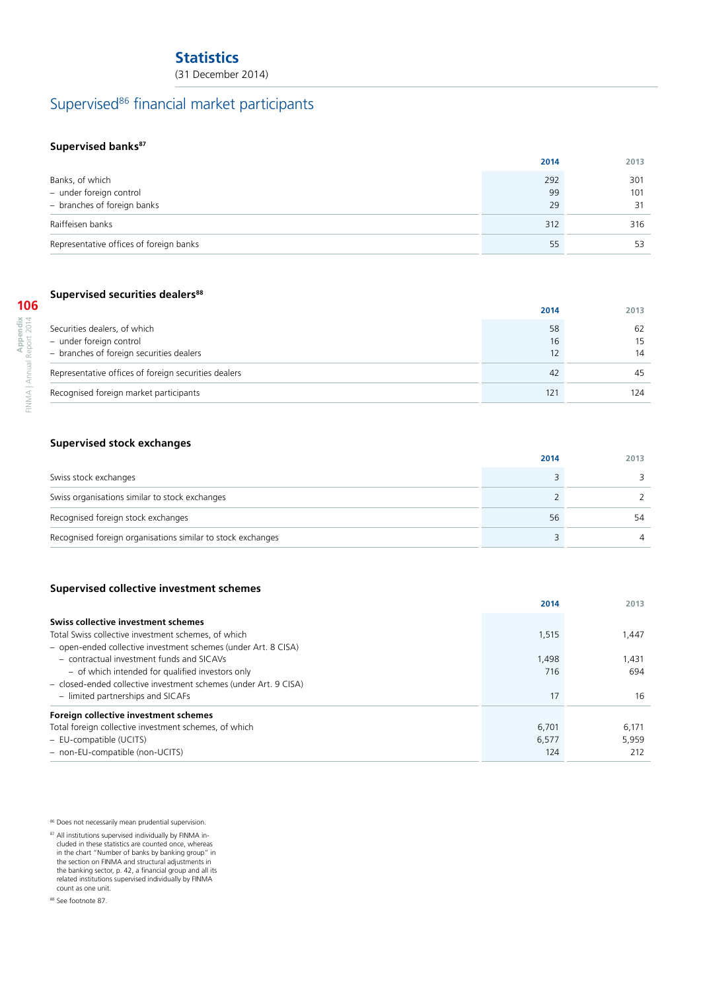## **Statistics**

(31 December 2014)

## Supervised<sup>86</sup> financial market participants

## **Supervised banks<sup>87</sup>**

|                                         | 2014 | 2013 |
|-----------------------------------------|------|------|
| Banks, of which                         | 292  | 301  |
| - under foreign control                 | 99   | 101  |
| - branches of foreign banks             | 29   | 31   |
| Raiffeisen banks                        | 312  | 316  |
| Representative offices of foreign banks | 55   | 53   |

## **Supervised securities dealers<sup>88</sup>**

|                                        | 06                                               |
|----------------------------------------|--------------------------------------------------|
| ×<br>ਟ<br>s<br>d<br>⋼<br>$\Omega$<br>a | ᅴ<br>ς<br>ţ<br>đ<br>$\alpha$<br>1<br>п<br>J<br>ĭ |

|                                                                                                     | 2014           | 2013                        |
|-----------------------------------------------------------------------------------------------------|----------------|-----------------------------|
| Securities dealers, of which<br>- under foreign control<br>- branches of foreign securities dealers | 58<br>16<br>12 | 62<br>15 <sup>2</sup><br>14 |
| Representative offices of foreign securities dealers                                                | 42             | 45                          |
| Recognised foreign market participants                                                              | 121            | 124                         |

## **Supervised stock exchanges**

|                                                             | 2014 | 2013 |
|-------------------------------------------------------------|------|------|
| Swiss stock exchanges                                       |      |      |
| Swiss organisations similar to stock exchanges              |      |      |
| Recognised foreign stock exchanges                          | 56   |      |
| Recognised foreign organisations similar to stock exchanges |      |      |

## **Supervised collective investment schemes**

|                                                                  | 2014  | 2013  |
|------------------------------------------------------------------|-------|-------|
| Swiss collective investment schemes                              |       |       |
| Total Swiss collective investment schemes, of which              | 1,515 | 1,447 |
| - open-ended collective investment schemes (under Art. 8 CISA)   |       |       |
| - contractual investment funds and SICAVs                        | 1,498 | 1,431 |
| - of which intended for qualified investors only                 | 716   | 694   |
| - closed-ended collective investment schemes (under Art. 9 CISA) |       |       |
| - limited partnerships and SICAFs                                | 17    | 16    |
| Foreign collective investment schemes                            |       |       |
| Total foreign collective investment schemes, of which            | 6.701 | 6,171 |
| - EU-compatible (UCITS)                                          | 6,577 | 5.959 |
| - non-EU-compatible (non-UCITS)                                  | 124   | 212   |

86 Does not necessarily mean prudential supervision.

<sup>87</sup> All institutions supervised individually by FINMA included in these statistics are counted once, whereas in the chart "Number of banks by banking group" in the section on FINMA and structural adjustments in the banking sector, p. 42, a financial group and all its related institutions supervised individually by FINMA count as one unit.

88 See footnote 87.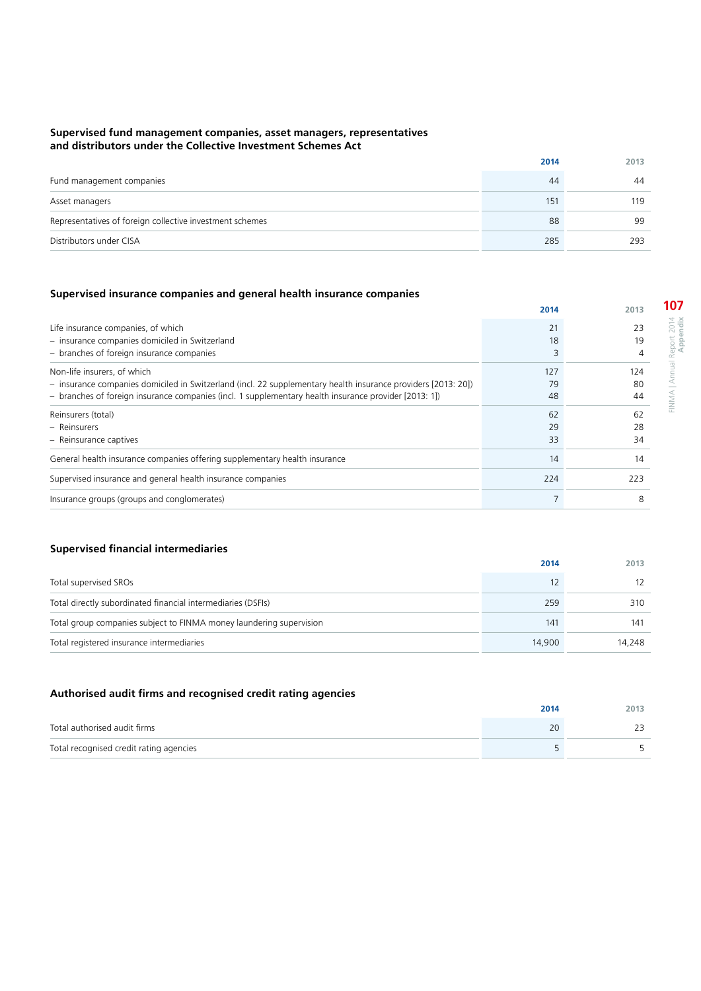#### **Supervised fund management companies, asset managers, representatives and distributors under the Collective Investment Schemes Act**

|                                                          | 2014 | 2013 |
|----------------------------------------------------------|------|------|
| Fund management companies                                | 44   | 44   |
| Asset managers                                           | 151  | 119  |
| Representatives of foreign collective investment schemes | 88   | 99   |
| Distributors under CISA                                  | 285  | 293  |

## **Supervised insurance companies and general health insurance companies**

|                                                                                                                                                                                                                                                       | 2014            | 2013            |
|-------------------------------------------------------------------------------------------------------------------------------------------------------------------------------------------------------------------------------------------------------|-----------------|-----------------|
| Life insurance companies, of which<br>- insurance companies domiciled in Switzerland<br>- branches of foreign insurance companies                                                                                                                     | 21<br>18        | 23<br>19        |
| Non-life insurers, of which<br>- insurance companies domiciled in Switzerland (incl. 22 supplementary health insurance providers [2013: 20])<br>- branches of foreign insurance companies (incl. 1 supplementary health insurance provider [2013: 1]) | 127<br>79<br>48 | 124<br>80<br>44 |
| Reinsurers (total)<br>- Reinsurers<br>- Reinsurance captives                                                                                                                                                                                          | 62<br>29<br>33  | 62<br>28<br>34  |
| General health insurance companies offering supplementary health insurance                                                                                                                                                                            | 14              | 14              |
| Supervised insurance and general health insurance companies                                                                                                                                                                                           | 224             | 223             |
| Insurance groups (groups and conglomerates)                                                                                                                                                                                                           |                 | 8               |

## **Supervised financial intermediaries**

|                                                                     | 2014   | 2013   |
|---------------------------------------------------------------------|--------|--------|
| Total supervised SROs                                               |        |        |
| Total directly subordinated financial intermediaries (DSFIs)        | 259    | 310    |
| Total group companies subject to FINMA money laundering supervision | 141    | 141    |
| Total registered insurance intermediaries                           | 14,900 | 14,248 |

## **Authorised audit firms and recognised credit rating agencies**

|                                         | 2014 | 2013 |
|-----------------------------------------|------|------|
| Total authorised audit firms            |      |      |
| Total recognised credit rating agencies |      |      |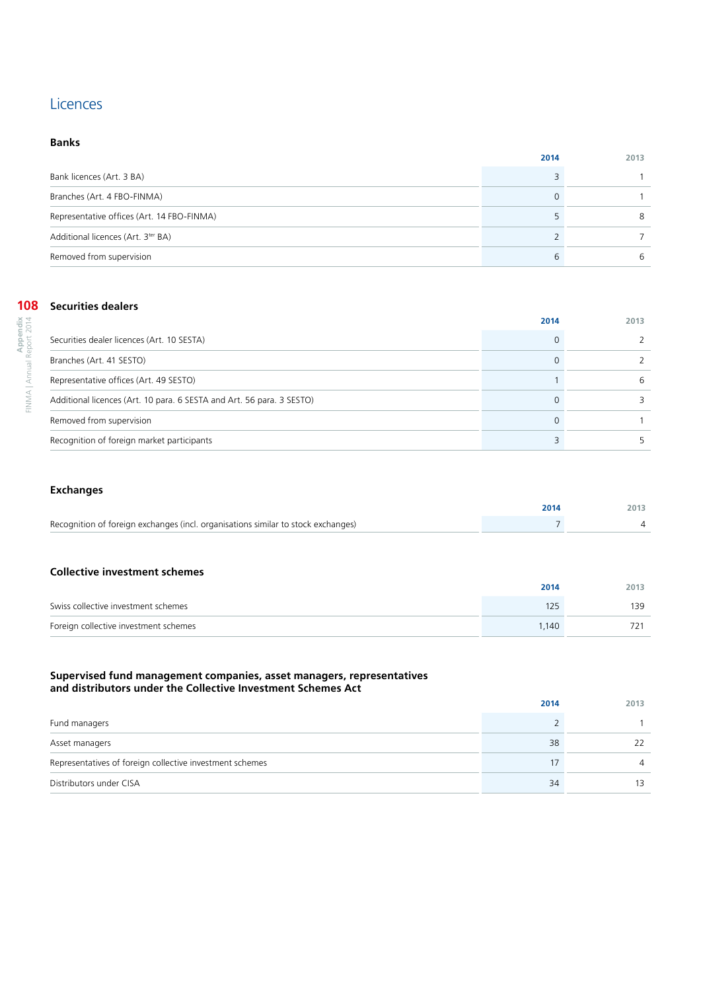## **Licences**

## **Banks**

|                                                | 2014 | 2013 |
|------------------------------------------------|------|------|
| Bank licences (Art. 3 BA)                      |      |      |
| Branches (Art. 4 FBO-FINMA)                    |      |      |
| Representative offices (Art. 14 FBO-FINMA)     |      |      |
| Additional licences (Art. 3 <sup>ter</sup> BA) |      |      |
| Removed from supervision                       | h    |      |

### **108** Securities dealers

| ٦<br>I<br>۹<br>I<br>J<br>2<br>ļ<br>ď<br>× | t<br>$\epsilon$<br>1<br>ţ<br>1 |
|-------------------------------------------|--------------------------------|
|                                           | ٢<br>ł<br>ł<br>ć<br>n          |
|                                           | 1<br>×<br>٠                    |

|                                                                       | 2014 | 2013 |
|-----------------------------------------------------------------------|------|------|
| Securities dealer licences (Art. 10 SESTA)                            |      |      |
| Branches (Art. 41 SESTO)                                              |      |      |
| Representative offices (Art. 49 SESTO)                                |      | -6   |
| Additional licences (Art. 10 para. 6 SESTA and Art. 56 para. 3 SESTO) |      |      |
| Removed from supervision                                              |      |      |
| Recognition of foreign market participants                            |      |      |

## **Exchanges**

|                                                                                   | 2014 | 2013 |
|-----------------------------------------------------------------------------------|------|------|
| Recognition of foreign exchanges (incl. organisations similar to stock exchanges) |      |      |

#### **Collective investment schemes**

|                                       | 2014  | 2013 |
|---------------------------------------|-------|------|
| Swiss collective investment schemes   | 125   | 139  |
| Foreign collective investment schemes | 1,140 |      |

### **Supervised fund management companies, asset managers, representatives and distributors under the Collective Investment Schemes Act**

|                                                          | 2014 | 2013 |
|----------------------------------------------------------|------|------|
| Fund managers                                            |      |      |
| Asset managers                                           | 38   | 22   |
| Representatives of foreign collective investment schemes |      | 4    |
| Distributors under CISA                                  | 34   |      |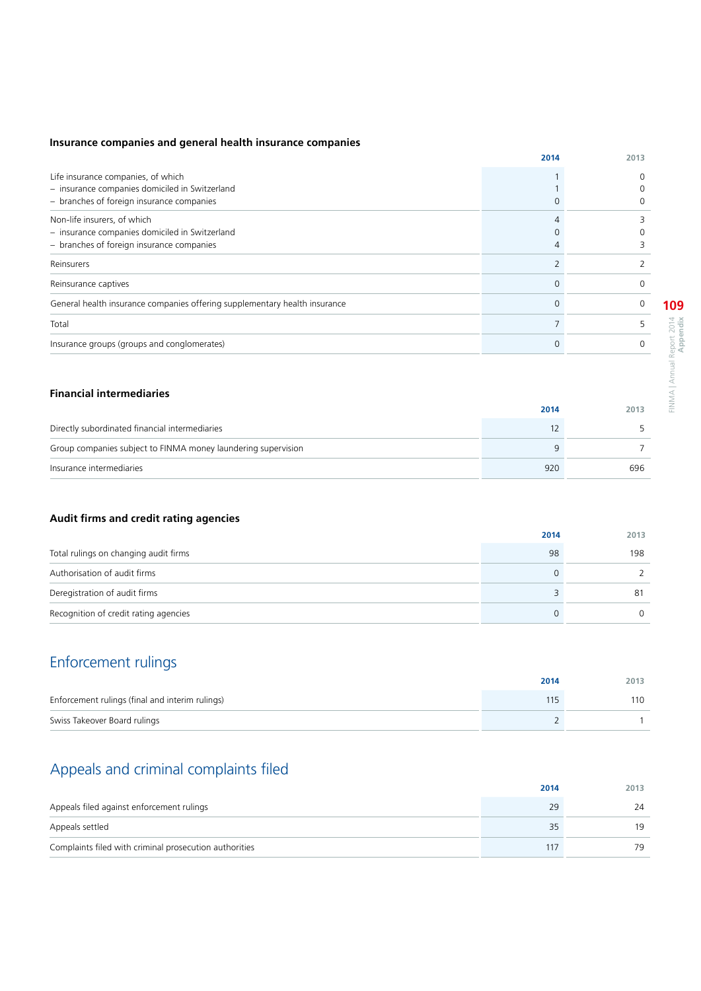## **Insurance companies and general health insurance companies**

|                                                                                      | 2014 | 2013 |
|--------------------------------------------------------------------------------------|------|------|
| Life insurance companies, of which<br>- insurance companies domiciled in Switzerland |      | 0    |
| - branches of foreign insurance companies                                            |      |      |
| Non-life insurers, of which                                                          |      |      |
| - insurance companies domiciled in Switzerland                                       |      |      |
| - branches of foreign insurance companies                                            |      |      |
| Reinsurers                                                                           |      |      |
| Reinsurance captives                                                                 |      | 0    |
| General health insurance companies offering supplementary health insurance           |      | 0    |
| Total                                                                                |      |      |
| Insurance groups (groups and conglomerates)                                          |      | O    |

## **Financial intermediaries**

|                                                               | 2014 | 2013 |
|---------------------------------------------------------------|------|------|
| Directly subordinated financial intermediaries                |      |      |
| Group companies subject to FINMA money laundering supervision |      |      |
| Insurance intermediaries                                      | 920  | 696  |

## **Audit firms and credit rating agencies**

|                                       | 2014 | 2013 |
|---------------------------------------|------|------|
| Total rulings on changing audit firms | -98  | 198  |
| Authorisation of audit firms          |      |      |
| Deregistration of audit firms         |      | 81   |
| Recognition of credit rating agencies |      | ∩    |

## Enforcement rulings

|                                                 | 2014 | 2013 |
|-------------------------------------------------|------|------|
| Enforcement rulings (final and interim rulings) |      | 110  |
| Swiss Takeover Board rulings                    |      |      |

## Appeals and criminal complaints filed

|                                                        | 2014 | 2013 |
|--------------------------------------------------------|------|------|
| Appeals filed against enforcement rulings              |      | 24   |
| Appeals settled                                        |      | 19   |
| Complaints filed with criminal prosecution authorities |      | 79   |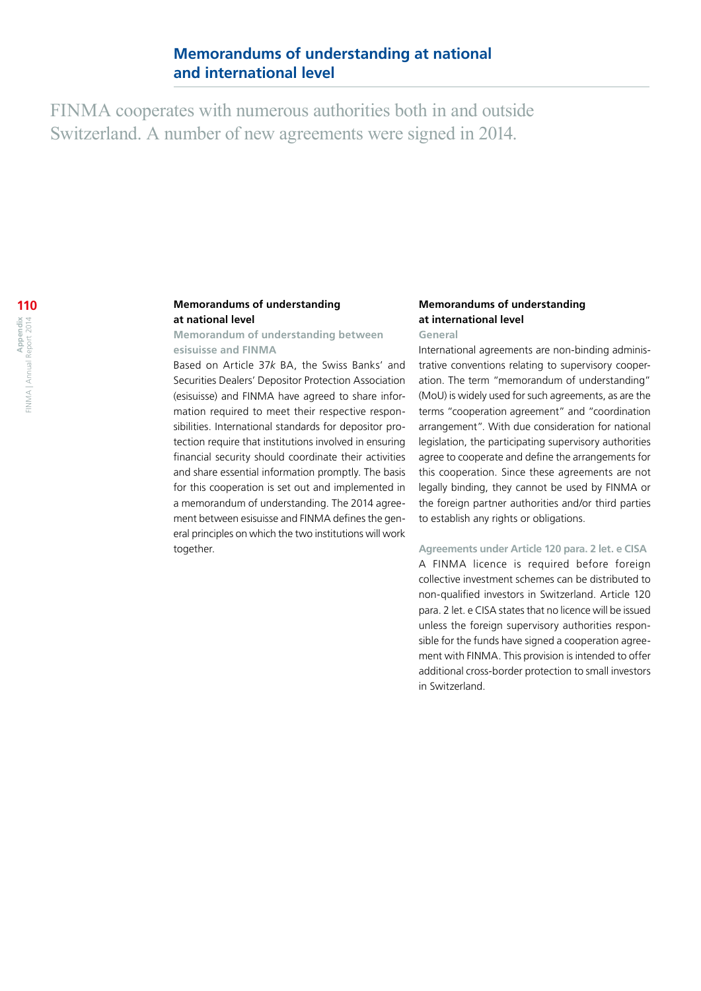FINMA cooperates with numerous authorities both in and outside Switzerland. A number of new agreements were signed in 2014.

## **Memorandums of understanding at national level**

## **Memorandum of understanding between esisuisse and FINMA**

Based on Article 37*k* BA, the Swiss Banks' and Securities Dealers' Depositor Protection Association (esisuisse) and FINMA have agreed to share information required to meet their respective responsibilities. International standards for depositor protection require that institutions involved in ensuring financial security should coordinate their activities and share essential information promptly. The basis for this cooperation is set out and implemented in a memorandum of understanding. The 2014 agreement between esisuisse and FINMA defines the general principles on which the two institutions will work together.

## **Memorandums of understanding at international level**

## **General**

International agreements are non-binding administrative conventions relating to supervisory cooperation. The term "memorandum of understanding" (MoU) is widely used for such agreements, as are the terms "cooperation agreement" and "coordination arrangement". With due consideration for national legislation, the participating supervisory authorities agree to cooperate and define the arrangements for this cooperation. Since these agreements are not legally binding, they cannot be used by FINMA or the foreign partner authorities and/or third parties to establish any rights or obligations.

## **Agreements under Article 120 para. 2 let. e CISA**

A FINMA licence is required before foreign collective investment schemes can be distributed to non-qualified investors in Switzerland. Article 120 para. 2 let. e CISA states that no licence will be issued unless the foreign supervisory authorities responsible for the funds have signed a cooperation agreement with FINMA. This provision is intended to offer additional cross-border protection to small investors in Switzerland.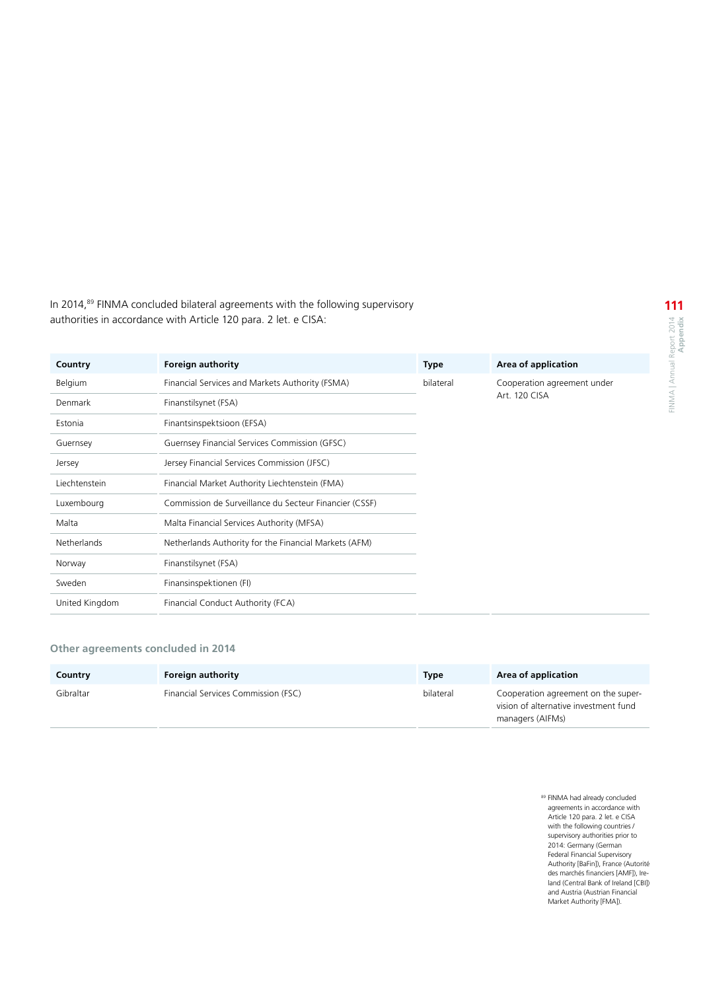In 2014,<sup>89</sup> FINMA concluded bilateral agreements with the following supervisory authorities in accordance with Article 120 para. 2 let. e CISA:

| Country        | <b>Foreign authority</b>                               | <b>Type</b> | Area of application                          |
|----------------|--------------------------------------------------------|-------------|----------------------------------------------|
| Belgium        | Financial Services and Markets Authority (FSMA)        | bilateral   | Cooperation agreement under<br>Art. 120 CISA |
| Denmark        | Finanstilsynet (FSA)                                   |             |                                              |
| Estonia        | Finantsinspektsioon (EFSA)                             |             |                                              |
| Guernsey       | Guernsey Financial Services Commission (GFSC)          |             |                                              |
| Jersey         | Jersey Financial Services Commission (JFSC)            |             |                                              |
| Liechtenstein  | Financial Market Authority Liechtenstein (FMA)         |             |                                              |
| Luxembourg     | Commission de Surveillance du Secteur Financier (CSSF) |             |                                              |
| Malta          | Malta Financial Services Authority (MFSA)              |             |                                              |
| Netherlands    | Netherlands Authority for the Financial Markets (AFM)  |             |                                              |
| Norway         | Finanstilsynet (FSA)                                   |             |                                              |
| Sweden         | Finansinspektionen (FI)                                |             |                                              |
| United Kingdom | Financial Conduct Authority (FCA)                      |             |                                              |

## **Other agreements concluded in 2014**

| Country   | <b>Foreign authority</b>            | <b>Type</b> | Area of application                                                                              |
|-----------|-------------------------------------|-------------|--------------------------------------------------------------------------------------------------|
| Gibraltar | Financial Services Commission (FSC) | bilateral   | Cooperation agreement on the super-<br>vision of alternative investment fund<br>managers (AIFMs) |

89 FINMA had already concluded agreements in accordance with Article 120 para. 2 let. e CISA with the following countries / supervisory authorities prior to 2014: Germany (German Federal Financial Supervisory Authority [BaFin]), France (Autorité des marchés financiers [AMF]), Ire-land (Central Bank of Ireland [CBI]) and Austria (Austrian Financial Market Authority [FMA]).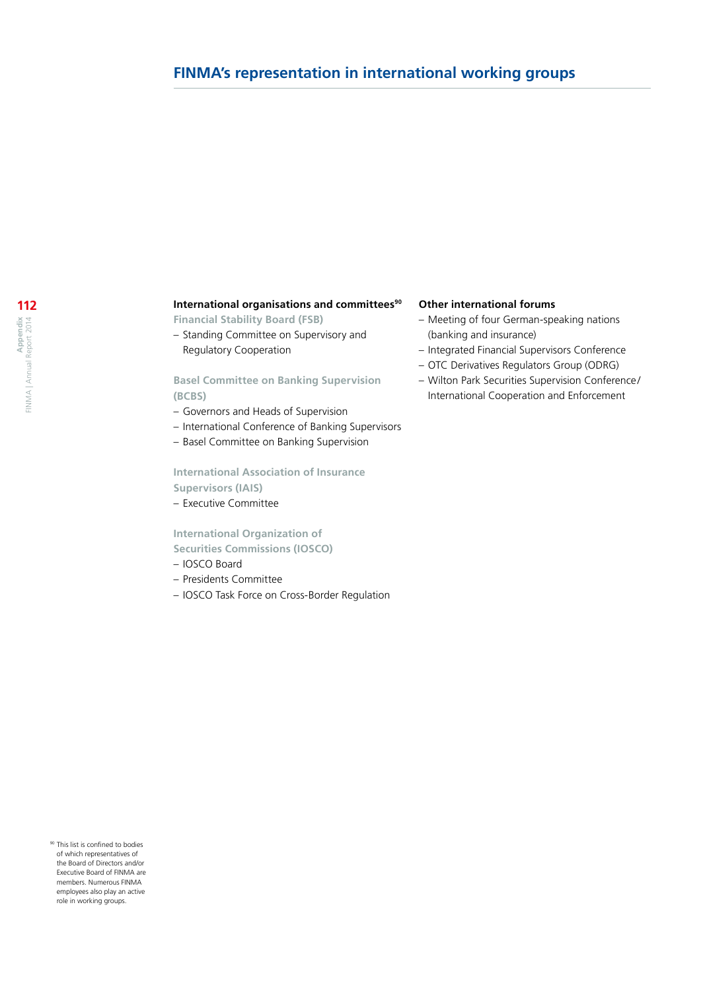## **International organisations and committees<sup>90</sup>**

**Financial Stability Board (FSB)**

– Standing Committee on Supervisory and Regulatory Cooperation

## **Basel Committee on Banking Supervision (BCBS)**

- Governors and Heads of Supervision
- International Conference of Banking Supervisors
- Basel Committee on Banking Supervision

## **International Association of Insurance Supervisors (IAIS)**

– Executive Committee

## **International Organization of Securities Commissions (IOSCO)**

- 
- IOSCO Board
- Presidents Committee
- IOSCO Task Force on Cross-Border Regulation

### **Other international forums**

- Meeting of four German-speaking nations (banking and insurance)
- Integrated Financial Supervisors Conference
- OTC Derivatives Regulators Group (ODRG)
- Wilton Park Securities Supervision Conference / International Cooperation and Enforcement

90 This list is confined to bodies of which representatives of the Board of Directors and/or Executive Board of FINMA are members. Numerous FINMA employees also play an active role in working groups.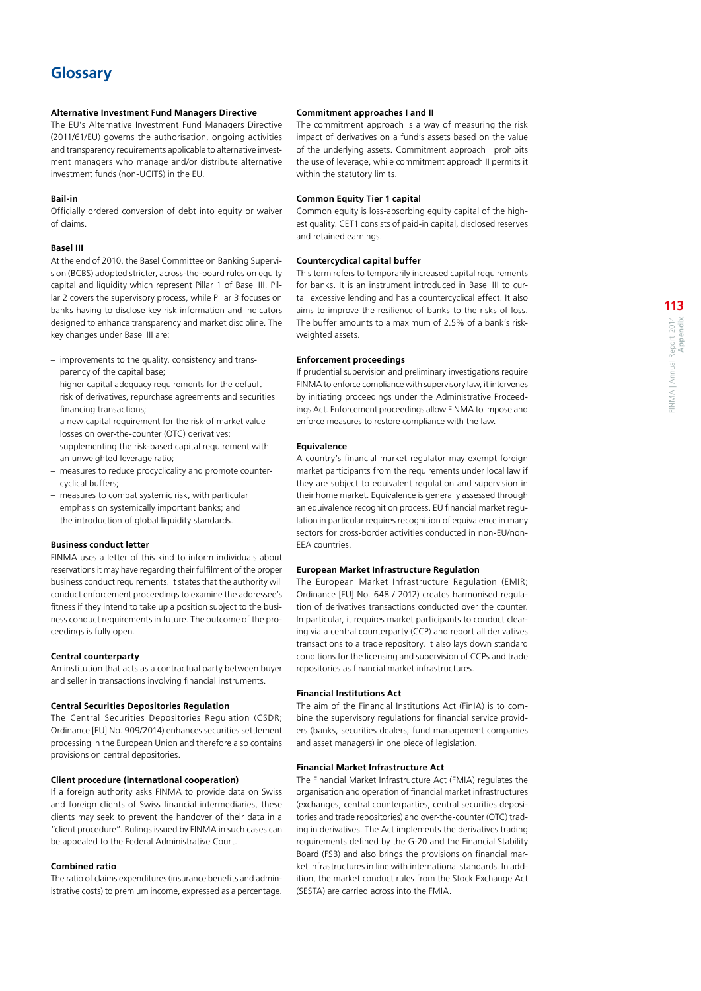#### **Alternative Investment Fund Managers Directive**

The EU's Alternative Investment Fund Managers Directive (2011/61/EU) governs the authorisation, ongoing activities and transparency requirements applicable to alternative investment managers who manage and/or distribute alternative investment funds (non-UCITS) in the EU.

#### **Bail-in**

Officially ordered conversion of debt into equity or waiver of claims.

#### **Basel III**

At the end of 2010, the Basel Committee on Banking Supervision (BCBS) adopted stricter, across-the-board rules on equity capital and liquidity which represent Pillar 1 of Basel III. Pillar 2 covers the supervisory process, while Pillar 3 focuses on banks having to disclose key risk information and indicators designed to enhance transparency and market discipline. The key changes under Basel III are:

- improvements to the quality, consistency and transparency of the capital base;
- higher capital adequacy requirements for the default risk of derivatives, repurchase agreements and securities financing transactions;
- a new capital requirement for the risk of market value losses on over-the-counter (OTC) derivatives;
- supplementing the risk-based capital requirement with an unweighted leverage ratio;
- measures to reduce procyclicality and promote countercyclical buffers;
- measures to combat systemic risk, with particular emphasis on systemically important banks; and
- the introduction of global liquidity standards.

#### **Business conduct letter**

FINMA uses a letter of this kind to inform individuals about reservations it may have regarding their fulfilment of the proper business conduct requirements. It states that the authority will conduct enforcement proceedings to examine the addressee's fitness if they intend to take up a position subject to the business conduct requirements in future. The outcome of the proceedings is fully open.

#### **Central counterparty**

An institution that acts as a contractual party between buyer and seller in transactions involving financial instruments.

#### **Central Securities Depositories Regulation**

The Central Securities Depositories Regulation (CSDR; Ordinance [EU] No. 909/2014) enhances securities settlement processing in the European Union and therefore also contains provisions on central depositories.

#### **Client procedure (international cooperation)**

If a foreign authority asks FINMA to provide data on Swiss and foreign clients of Swiss financial intermediaries, these clients may seek to prevent the handover of their data in a "client procedure". Rulings issued by FINMA in such cases can be appealed to the Federal Administrative Court.

#### **Combined ratio**

The ratio of claims expenditures (insurance benefits and administrative costs) to premium income, expressed as a percentage.

#### **Commitment approaches I and II**

The commitment approach is a way of measuring the risk impact of derivatives on a fund's assets based on the value of the underlying assets. Commitment approach I prohibits the use of leverage, while commitment approach II permits it within the statutory limits.

### **Common Equity Tier 1 capital**

Common equity is loss-absorbing equity capital of the highest quality. CET1 consists of paid-in capital, disclosed reserves and retained earnings.

#### **Countercyclical capital buffer**

This term refers to temporarily increased capital requirements for banks. It is an instrument introduced in Basel III to curtail excessive lending and has a countercyclical effect. It also aims to improve the resilience of banks to the risks of loss. The buffer amounts to a maximum of 2.5% of a bank's riskweighted assets.

#### **Enforcement proceedings**

If prudential supervision and preliminary investigations require FINMA to enforce compliance with supervisory law, it intervenes by initiating proceedings under the Administrative Proceedings Act. Enforcement proceedings allow FINMA to impose and enforce measures to restore compliance with the law.

#### **Equivalence**

A country's financial market regulator may exempt foreign market participants from the requirements under local law if they are subject to equivalent regulation and supervision in their home market. Equivalence is generally assessed through an equivalence recognition process. EU financial market regulation in particular requires recognition of equivalence in many sectors for cross-border activities conducted in non-EU/non-EEA countries.

#### **European Market Infrastructure Regulation**

The European Market Infrastructure Regulation (EMIR) Ordinance [EU] No. 648 / 2012) creates harmonised regulation of derivatives transactions conducted over the counter. In particular, it requires market participants to conduct clearing via a central counterparty (CCP) and report all derivatives transactions to a trade repository. It also lays down standard conditions for the licensing and supervision of CCPs and trade repositories as financial market infrastructures.

#### **Financial Institutions Act**

The aim of the Financial Institutions Act (FinIA) is to combine the supervisory regulations for financial service providers (banks, securities dealers, fund management companies and asset managers) in one piece of legislation.

#### **Financial Market Infrastructure Act**

The Financial Market Infrastructure Act (FMIA) regulates the organisation and operation of financial market infrastructures (exchanges, central counterparties, central securities depositories and trade repositories) and over-the-counter (OTC) trading in derivatives. The Act implements the derivatives trading requirements defined by the G-20 and the Financial Stability Board (FSB) and also brings the provisions on financial market infrastructures in line with international standards. In addition, the market conduct rules from the Stock Exchange Act (SESTA) are carried across into the FMIA.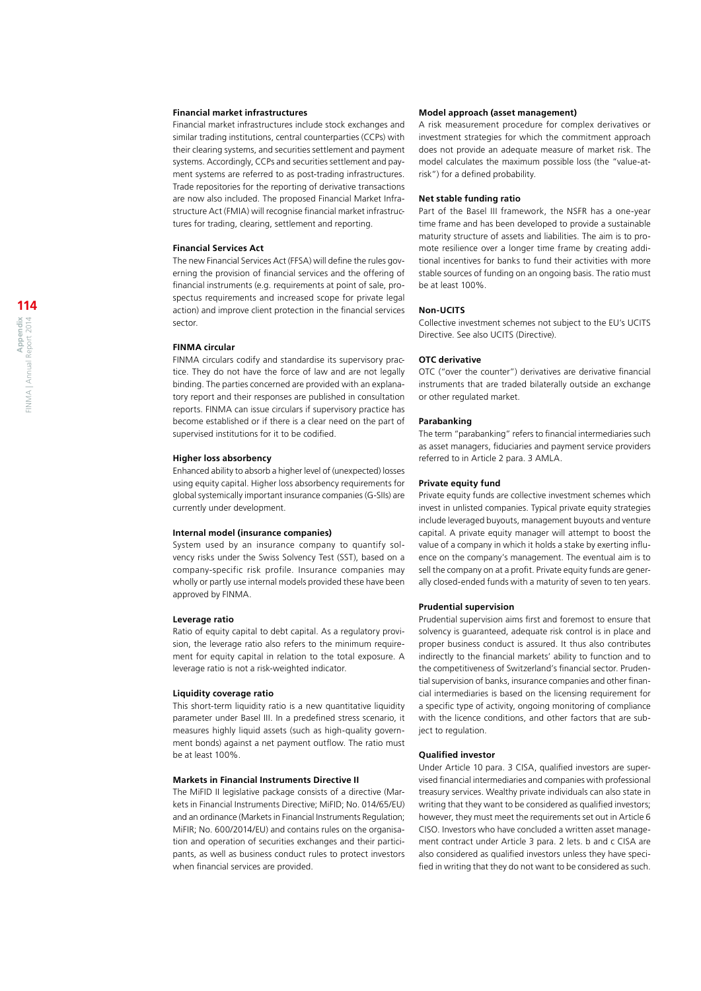#### **Financial market infrastructures**

Financial market infrastructures include stock exchanges and similar trading institutions, central counterparties (CCPs) with their clearing systems, and securities settlement and payment systems. Accordingly, CCPs and securities settlement and payment systems are referred to as post-trading infrastructures. Trade repositories for the reporting of derivative transactions are now also included. The proposed Financial Market Infrastructure Act (FMIA) will recognise financial market infrastructures for trading, clearing, settlement and reporting.

#### **Financial Services Act**

The new Financial Services Act (FFSA) will define the rules governing the provision of financial services and the offering of financial instruments (e.g. requirements at point of sale, prospectus requirements and increased scope for private legal action) and improve client protection in the financial services sector.

#### **FINMA circular**

FINMA circulars codify and standardise its supervisory practice. They do not have the force of law and are not legally binding. The parties concerned are provided with an explanatory report and their responses are published in consultation reports. FINMA can issue circulars if supervisory practice has become established or if there is a clear need on the part of supervised institutions for it to be codified.

#### **Higher loss absorbency**

Enhanced ability to absorb a higher level of (unexpected) losses using equity capital. Higher loss absorbency requirements for global systemically important insurance companies (G-SIIs) are currently under development.

#### **Internal model (insurance companies)**

System used by an insurance company to quantify solvency risks under the Swiss Solvency Test (SST), based on a company-specific risk profile. Insurance companies may wholly or partly use internal models provided these have been approved by FINMA.

#### **Leverage ratio**

Ratio of equity capital to debt capital. As a regulatory provision, the leverage ratio also refers to the minimum requirement for equity capital in relation to the total exposure. A leverage ratio is not a risk-weighted indicator.

#### **Liquidity coverage ratio**

This short-term liquidity ratio is a new quantitative liquidity parameter under Basel III. In a predefined stress scenario, it measures highly liquid assets (such as high-quality government bonds) against a net payment outflow. The ratio must be at least 100%.

#### **Markets in Financial Instruments Directive II**

The MiFID II legislative package consists of a directive (Markets in Financial Instruments Directive; MiFID; No. 014/65/EU) and an ordinance (Markets in Financial Instruments Regulation; MiFIR; No. 600/2014/EU) and contains rules on the organisation and operation of securities exchanges and their participants, as well as business conduct rules to protect investors when financial services are provided.

#### **Model approach (asset management)**

A risk measurement procedure for complex derivatives or investment strategies for which the commitment approach does not provide an adequate measure of market risk. The model calculates the maximum possible loss (the "value-atrisk") for a defined probability.

#### **Net stable funding ratio**

Part of the Basel III framework, the NSFR has a one-year time frame and has been developed to provide a sustainable maturity structure of assets and liabilities. The aim is to promote resilience over a longer time frame by creating additional incentives for banks to fund their activities with more stable sources of funding on an ongoing basis. The ratio must be at least 100%.

#### **Non-UCITS**

Collective investment schemes not subject to the EU's UCITS Directive. See also UCITS (Directive).

#### **OTC derivative**

OTC ("over the counter") derivatives are derivative financial instruments that are traded bilaterally outside an exchange or other regulated market.

#### **Parabanking**

The term "parabanking" refers to financial intermediaries such as asset managers, fiduciaries and payment service providers referred to in Article 2 para. 3 AMLA.

#### **Private equity fund**

Private equity funds are collective investment schemes which invest in unlisted companies. Typical private equity strategies include leveraged buyouts, management buyouts and venture capital. A private equity manager will attempt to boost the value of a company in which it holds a stake by exerting influence on the company's management. The eventual aim is to sell the company on at a profit. Private equity funds are generally closed-ended funds with a maturity of seven to ten years.

#### **Prudential supervision**

Prudential supervision aims first and foremost to ensure that solvency is guaranteed, adequate risk control is in place and proper business conduct is assured. It thus also contributes indirectly to the financial markets' ability to function and to the competitiveness of Switzerland's financial sector. Prudential supervision of banks, insurance companies and other financial intermediaries is based on the licensing requirement for a specific type of activity, ongoing monitoring of compliance with the licence conditions, and other factors that are subject to regulation.

#### **Qualified investor**

Under Article 10 para. 3 CISA, qualified investors are supervised financial intermediaries and companies with professional treasury services. Wealthy private individuals can also state in writing that they want to be considered as qualified investors; however, they must meet the requirements set out in Article 6 CISO. Investors who have concluded a written asset management contract under Article 3 para. 2 lets. b and c CISA are also considered as qualified investors unless they have specified in writing that they do not want to be considered as such.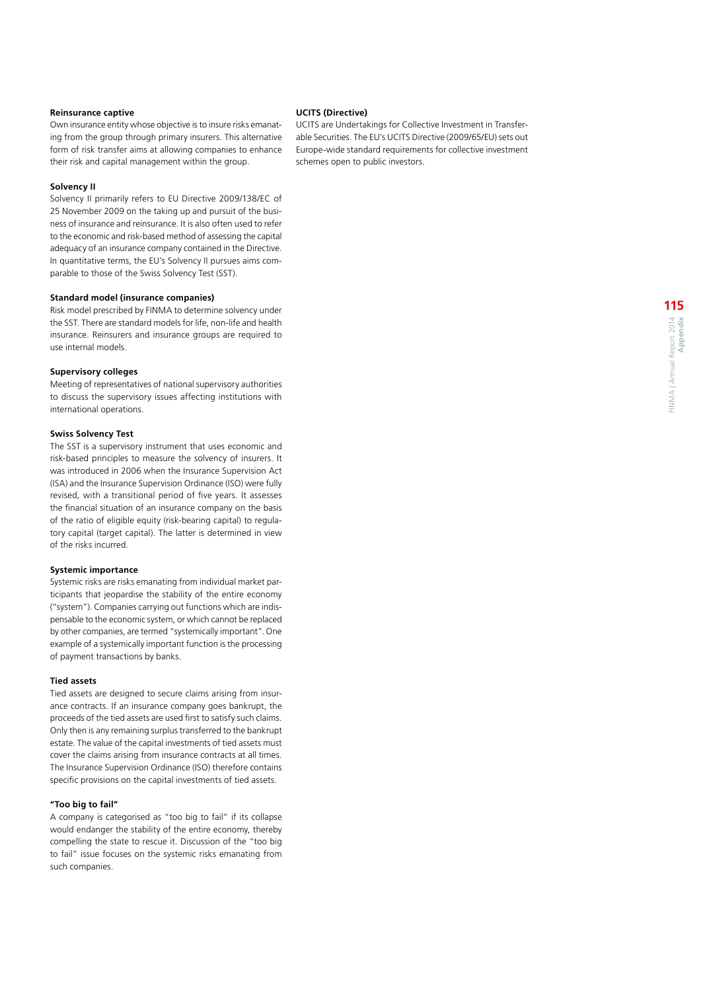#### **Reinsurance captive**

Own insurance entity whose objective is to insure risks emanating from the group through primary insurers. This alternative form of risk transfer aims at allowing companies to enhance their risk and capital management within the group.

#### **Solvency II**

Solvency II primarily refers to EU Directive 2009/138/EC of 25 November 2009 on the taking up and pursuit of the business of insurance and reinsurance. It is also often used to refer to the economic and risk-based method of assessing the capital adequacy of an insurance company contained in the Directive. In quantitative terms, the EU's Solvency II pursues aims comparable to those of the Swiss Solvency Test (SST).

#### **Standard model (insurance companies)**

Risk model prescribed by FINMA to determine solvency under the SST. There are standard models for life, non-life and health insurance. Reinsurers and insurance groups are required to use internal models.

#### **Supervisory colleges**

Meeting of representatives of national supervisory authorities to discuss the supervisory issues affecting institutions with international operations.

### **Swiss Solvency Test**

The SST is a supervisory instrument that uses economic and risk-based principles to measure the solvency of insurers. It was introduced in 2006 when the Insurance Supervision Act (ISA) and the Insurance Supervision Ordinance (ISO) were fully revised, with a transitional period of five years. It assesses the financial situation of an insurance company on the basis of the ratio of eligible equity (risk-bearing capital) to regulatory capital (target capital). The latter is determined in view of the risks incurred.

#### **Systemic importance**

Systemic risks are risks emanating from individual market participants that jeopardise the stability of the entire economy ("system"). Companies carrying out functions which are indispensable to the economic system, or which cannot be replaced by other companies, are termed "systemically important". One example of a systemically important function is the processing of payment transactions by banks.

#### **Tied assets**

Tied assets are designed to secure claims arising from insurance contracts. If an insurance company goes bankrupt, the proceeds of the tied assets are used first to satisfy such claims. Only then is any remaining surplus transferred to the bankrupt estate. The value of the capital investments of tied assets must cover the claims arising from insurance contracts at all times. The Insurance Supervision Ordinance (ISO) therefore contains specific provisions on the capital investments of tied assets.

#### **"Too big to fail"**

A company is categorised as "too big to fail" if its collapse would endanger the stability of the entire economy, thereby compelling the state to rescue it. Discussion of the "too big to fail" issue focuses on the systemic risks emanating from such companies.

#### **UCITS (Directive)**

UCITS are Undertakings for Collective Investment in Transferable Securities. The EU's UCITS Directive (2009/65/EU) sets out Europe-wide standard requirements for collective investment schemes open to public investors.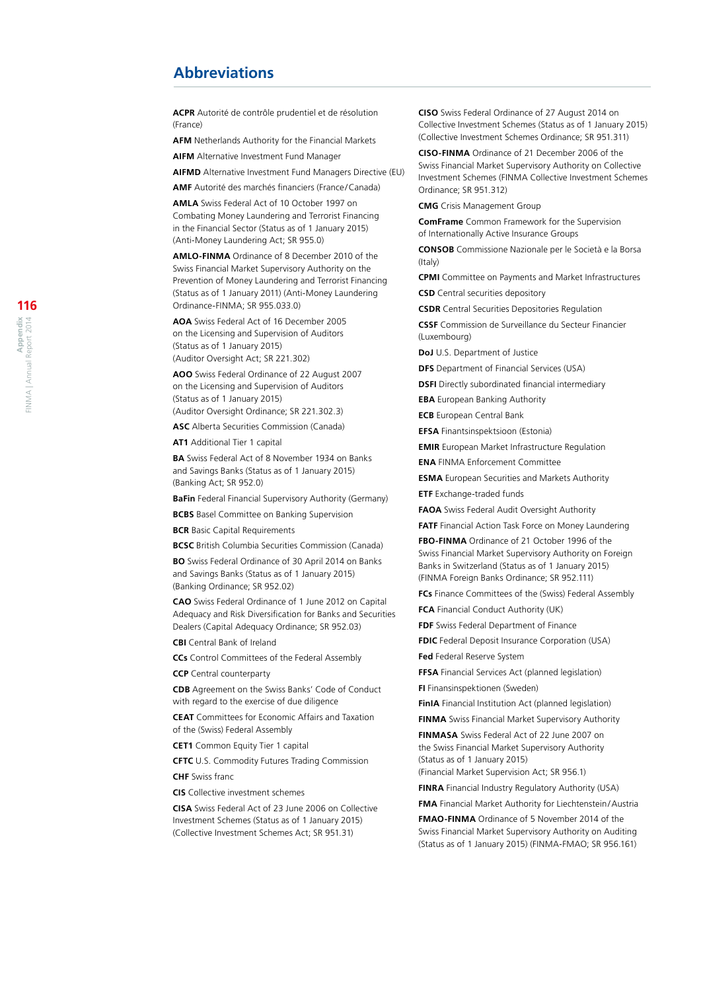## **Abbreviations**

**ACPR** Autorité de contrôle prudentiel et de résolution (France)

**AFM** Netherlands Authority for the Financial Markets

**AIFM** Alternative Investment Fund Manager

**AIFMD** Alternative Investment Fund Managers Directive (EU)

**AMF** Autorité des marchés financiers (France /Canada)

**AMLA** Swiss Federal Act of 10 October 1997 on Combating Money Laundering and Terrorist Financing in the Financial Sector (Status as of 1 January 2015) (Anti -Money Laundering Act; SR 955.0)

**AMLO-FINMA** Ordinance of 8 December 2010 of the Swiss Financial Market Supervisory Authority on the Prevention of Money Laundering and Terrorist Financing (Status as of 1 January 2011) (Anti -Money Laundering Ordinance -FINMA; SR 955.033.0)

**AOA** Swiss Federal Act of 16 December 2005 on the Licensing and Supervision of Auditors (Status as of 1 January 2015) (Auditor Oversight Act; SR 221.302)

**AOO** Swiss Federal Ordinance of 22 August 2007 on the Licensing and Supervision of Auditors (Status as of 1 January 2015) (Auditor Oversight Ordinance; SR 221.302.3)

**ASC** Alberta Securities Commission (Canada)

**AT1** Additional Tier 1 capital

**BA** Swiss Federal Act of 8 November 1934 on Banks and Savings Banks (Status as of 1 January 2015) (Banking Act; SR 952.0)

**BaFin** Federal Financial Supervisory Authority (Germany)

**BCBS** Basel Committee on Banking Supervision

**BCR** Basic Capital Requirements

**BCSC** British Columbia Securities Commission (Canada)

**BO** Swiss Federal Ordinance of 30 April 2014 on Banks and Savings Banks (Status as of 1 January 2015) (Banking Ordinance; SR 952.02)

**CAO** Swiss Federal Ordinance of 1 June 2012 on Capital Adequacy and Risk Diversification for Banks and Securities Dealers (Capital Adequacy Ordinance; SR 952.03)

**CBI** Central Bank of Ireland

**CCs** Control Committees of the Federal Assembly

**CCP** Central counterparty

**CDB** Agreement on the Swiss Banks' Code of Conduct with regard to the exercise of due diligence

**CEAT** Committees for Economic Affairs and Taxation of the (Swiss) Federal Assembly

**CET1** Common Equity Tier 1 capital

**CFTC** U.S. Commodity Futures Trading Commission **CHF** Swiss franc

**CIS** Collective investment schemes

**CISA** Swiss Federal Act of 23 June 2006 on Collective Investment Schemes (Status as of 1 January 2015) (Collective Investment Schemes Act; SR 951.31)

**CISO** Swiss Federal Ordinance of 27 August 2014 on Collective Investment Schemes (Status as of 1 January 2015) (Collective Investment Schemes Ordinance; SR 951.311)

**CISO-FINMA** Ordinance of 21 December 2006 of the Swiss Financial Market Supervisory Authority on Collective Investment Schemes (FINMA Collective Investment Schemes Ordinance; SR 951.312)

**CMG** Crisis Management Group

**ComFrame** Common Framework for the Supervision of Internationally Active Insurance Groups

**CONSOB** Commissione Nazionale per le Società e la Borsa (Italy)

**CPMI** Committee on Payments and Market Infrastructures

**CSD** Central securities depository

**CSDR** Central Securities Depositories Regulation

**CSSF** Commission de Surveillance du Secteur Financier (Luxembourg)

**DoJ** U.S. Department of Justice

**DFS** Department of Financial Services (USA)

**DSFI** Directly subordinated financial intermediary

**EBA** European Banking Authority

**ECB** European Central Bank

**EFSA** Finantsinspektsioon (Estonia)

**EMIR** European Market Infrastructure Regulation

**ENA** FINMA Enforcement Committee

**ESMA** European Securities and Markets Authority **ETF** Exchange -traded funds

**FAOA** Swiss Federal Audit Oversight Authority

**FATF** Financial Action Task Force on Money Laundering

**FBO-FINMA** Ordinance of 21 October 1996 of the Swiss Financial Market Supervisory Authority on Foreign Banks in Switzerland (Status as of 1 January 2015) (FINMA Foreign Banks Ordinance; SR 952.111)

**FCs** Finance Committees of the (Swiss) Federal Assembly

**FCA** Financial Conduct Authority (UK)

**FDF** Swiss Federal Department of Finance

**FDIC** Federal Deposit Insurance Corporation (USA)

**Fed** Federal Reserve System

**FFSA** Financial Services Act (planned legislation)

**FI** Finansinspektionen (Sweden)

**FinIA** Financial Institution Act (planned legislation)

**FINMA** Swiss Financial Market Supervisory Authority **FINMASA** Swiss Federal Act of 22 June 2007 on

the Swiss Financial Market Supervisory Authority (Status as of 1 January 2015) (Financial Market Supervision Act; SR 956.1)

**FINRA** Financial Industry Regulatory Authority (USA)

**FMA** Financial Market Authority for Liechtenstein /Austria

**FMAO-FINMA** Ordinance of 5 November 2014 of the Swiss Financial Market Supervisory Authority on Auditing (Status as of 1 January 2015) (FINMA -FMAO; SR 956.161)